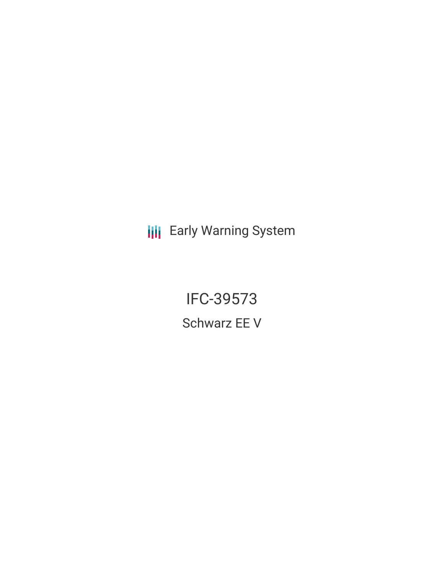**III** Early Warning System

IFC-39573 Schwarz EE V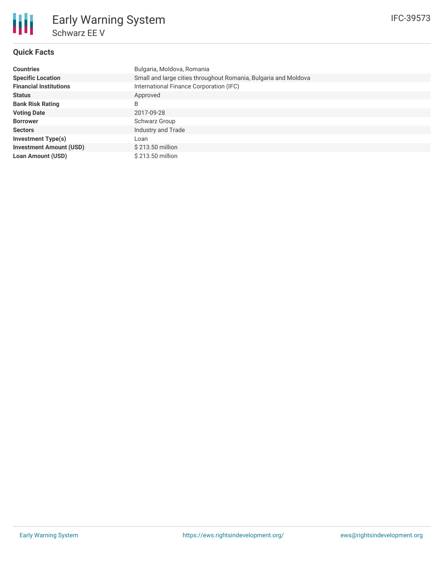## **Quick Facts**

朋

| <b>Countries</b>               | Bulgaria, Moldova, Romania                                      |
|--------------------------------|-----------------------------------------------------------------|
| <b>Specific Location</b>       | Small and large cities throughout Romania, Bulgaria and Moldova |
| <b>Financial Institutions</b>  | International Finance Corporation (IFC)                         |
| <b>Status</b>                  | Approved                                                        |
| <b>Bank Risk Rating</b>        | B                                                               |
| <b>Voting Date</b>             | 2017-09-28                                                      |
| <b>Borrower</b>                | Schwarz Group                                                   |
| <b>Sectors</b>                 | Industry and Trade                                              |
| <b>Investment Type(s)</b>      | Loan                                                            |
| <b>Investment Amount (USD)</b> | \$213.50 million                                                |
| <b>Loan Amount (USD)</b>       | \$213.50 million                                                |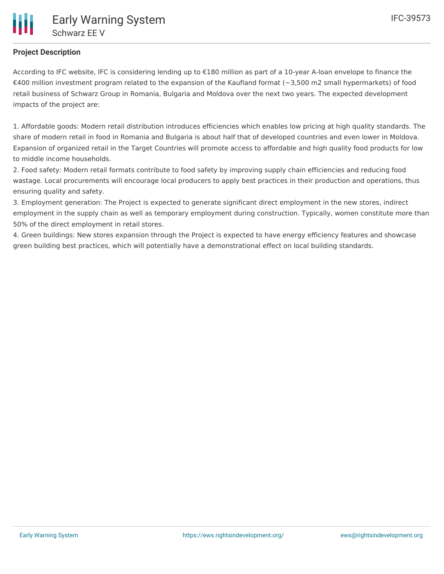# **Project Description**

According to IFC website, IFC is considering lending up to €180 million as part of a 10-year A-loan envelope to finance the €400 million investment program related to the expansion of the Kaufland format ( $\sim$ 3,500 m2 small hypermarkets) of food retail business of Schwarz Group in Romania, Bulgaria and Moldova over the next two years. The expected development impacts of the project are:

1. Affordable goods: Modern retail distribution introduces efficiencies which enables low pricing at high quality standards. The share of modern retail in food in Romania and Bulgaria is about half that of developed countries and even lower in Moldova. Expansion of organized retail in the Target Countries will promote access to affordable and high quality food products for low to middle income households.

2. Food safety: Modern retail formats contribute to food safety by improving supply chain efficiencies and reducing food wastage. Local procurements will encourage local producers to apply best practices in their production and operations, thus ensuring quality and safety.

3. Employment generation: The Project is expected to generate significant direct employment in the new stores, indirect employment in the supply chain as well as temporary employment during construction. Typically, women constitute more than 50% of the direct employment in retail stores.

4. Green buildings: New stores expansion through the Project is expected to have energy efficiency features and showcase green building best practices, which will potentially have a demonstrational effect on local building standards.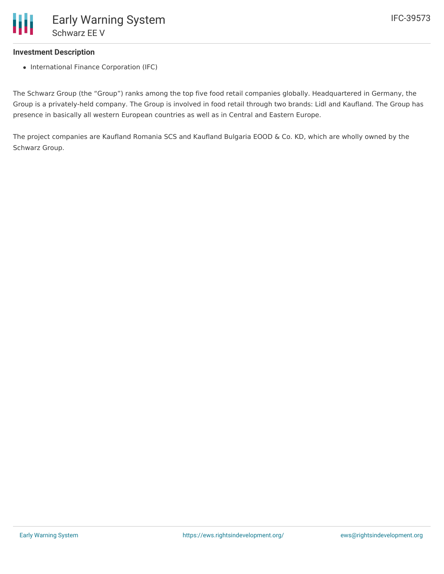## **Investment Description**

• International Finance Corporation (IFC)

The Schwarz Group (the "Group") ranks among the top five food retail companies globally. Headquartered in Germany, the Group is a privately-held company. The Group is involved in food retail through two brands: Lidl and Kaufland. The Group has presence in basically all western European countries as well as in Central and Eastern Europe.

The project companies are Kaufland Romania SCS and Kaufland Bulgaria EOOD & Co. KD, which are wholly owned by the Schwarz Group.